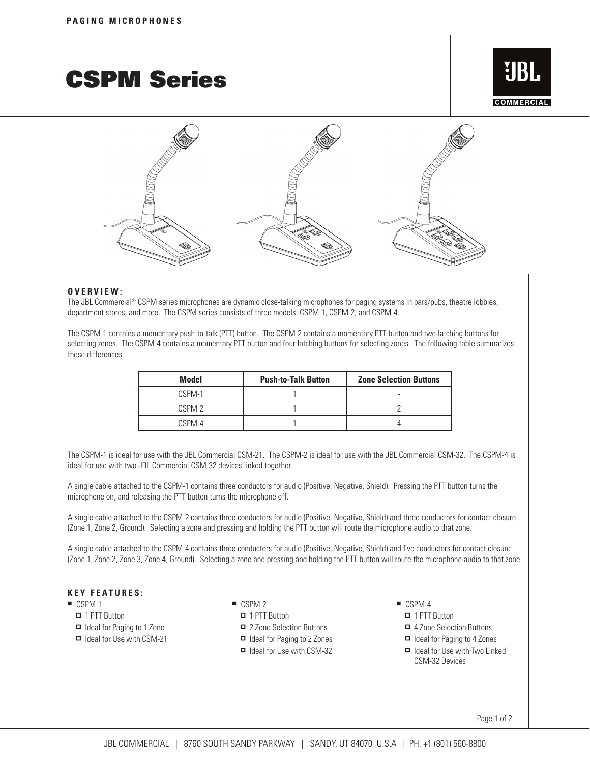CSPM Series





## **OVERVIEW:**

The JBL Commercial® CSPM series microphones are dynamic close-talking microphones for paging systems in bars/pubs, theatre lobbies, department stores, and more. The CSPM series consists of three models: CSPM-1, CSPM-2, and CSPM-4.

The CSPM-1 contains a momentary push-to-talk (PTT) button. The CSPM-2 contains a momentary PTT button and two latching buttons for selecting zones. The CSPM-4 contains a momentary PTT button and four latching buttons for selecting zones. The following table summarizes these differences.

| <b>Model</b> | <b>Push-to-Talk Button</b> | <b>Zone Selection Buttons</b> |
|--------------|----------------------------|-------------------------------|
| CSPM-1       |                            |                               |
| CSPM-2       |                            |                               |
| CSPM-4       |                            |                               |

The CSPM-1 is ideal for use with the JBL Commercial CSM-21. The CSPM-2 is ideal for use with the JBL Commercial CSM-32. The CSPM-4 is ideal for use with two JBL Commercial CSM-32 devices linked together.

A single cable attached to the CSPM-1 contains three conductors for audio (Positive, Negative, Shield). Pressing the PTT button turns the microphone on, and releasing the PTT button turns the microphone off.

A single cable attached to the CSPM-2 contains three conductors for audio (Positive, Negative, Shield) and three conductors for contact closure (Zone 1, Zone 2, Ground). Selecting a zone and pressing and holding the PTT button will route the microphone audio to that zone.

A single cable attached to the CSPM-4 contains three conductors for audio (Positive, Negative, Shield) and five conductors for contact closure (Zone 1, Zone 2, Zone 3, Zone 4, Ground). Selecting a zone and pressing and holding the PTT button will route the microphone audio to that zone

## **K e y F eat u res :**

- $\blacksquare$  CSPM-1
	- $\Box$  1 PTT Button
	- □ Ideal for Paging to 1 Zone
	- □ Ideal for Use with CSM-21
- CSPM-2
- □ 1 PTT Button
	- 2 Zone Selection Buttons
	- Ideal for Paging to 2 Zones
	- □ Ideal for Use with CSM-32
- $\blacksquare$  CSPM-4
- □ 1 PTT Button
- 4 Zone Selection Buttons
- Ideal for Paging to 4 Zones
- □ Ideal for Use with Two Linked CSM-32 Devices

Page 1 of 2